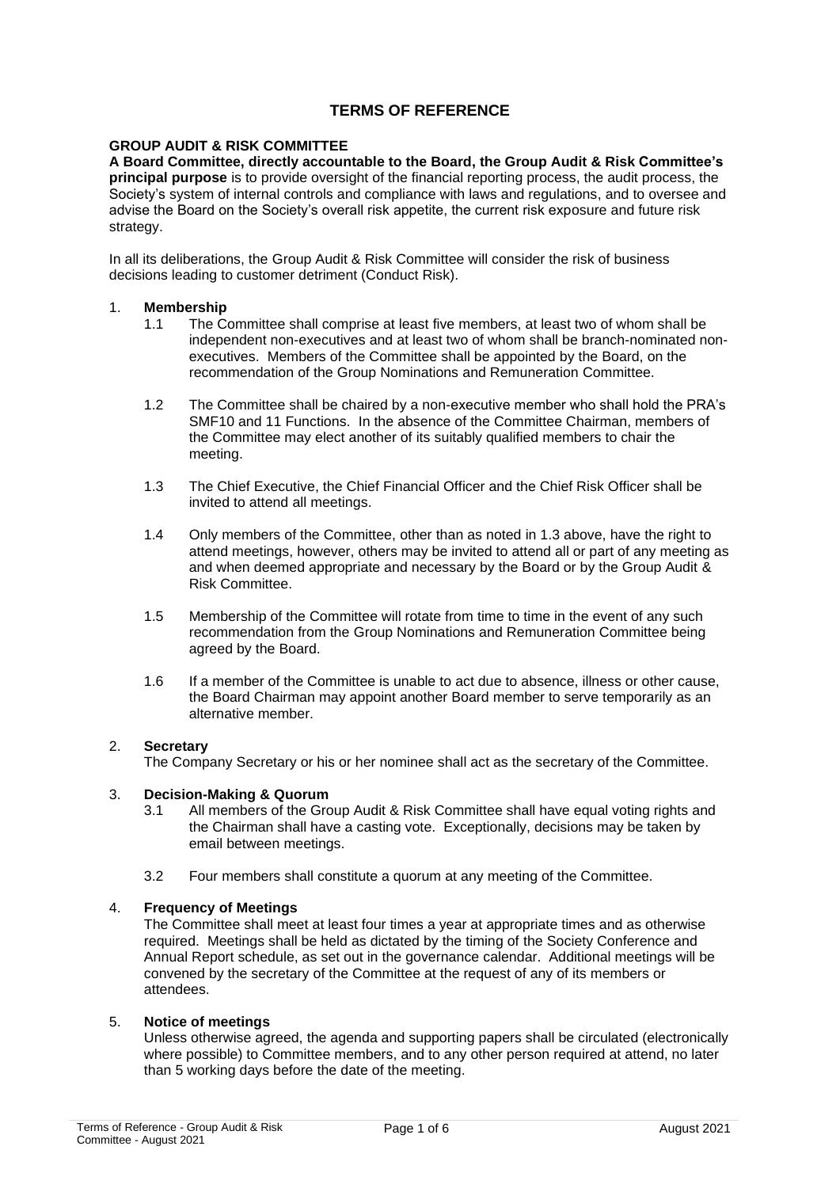# **TERMS OF REFERENCE**

## **GROUP AUDIT & RISK COMMITTEE**

**A Board Committee, directly accountable to the Board, the Group Audit & Risk Committee's principal purpose** is to provide oversight of the financial reporting process, the audit process, the Society's system of internal controls and compliance with laws and regulations, and to oversee and advise the Board on the Society's overall risk appetite, the current risk exposure and future risk strategy.

In all its deliberations, the Group Audit & Risk Committee will consider the risk of business decisions leading to customer detriment (Conduct Risk).

#### 1. **Membership**

- 1.1 The Committee shall comprise at least five members, at least two of whom shall be independent non-executives and at least two of whom shall be branch-nominated nonexecutives. Members of the Committee shall be appointed by the Board, on the recommendation of the Group Nominations and Remuneration Committee.
- 1.2 The Committee shall be chaired by a non-executive member who shall hold the PRA's SMF10 and 11 Functions. In the absence of the Committee Chairman, members of the Committee may elect another of its suitably qualified members to chair the meeting.
- 1.3 The Chief Executive, the Chief Financial Officer and the Chief Risk Officer shall be invited to attend all meetings.
- 1.4 Only members of the Committee, other than as noted in 1.3 above, have the right to attend meetings, however, others may be invited to attend all or part of any meeting as and when deemed appropriate and necessary by the Board or by the Group Audit & Risk Committee.
- 1.5 Membership of the Committee will rotate from time to time in the event of any such recommendation from the Group Nominations and Remuneration Committee being agreed by the Board.
- 1.6 If a member of the Committee is unable to act due to absence, illness or other cause, the Board Chairman may appoint another Board member to serve temporarily as an alternative member.

## 2. **Secretary**

The Company Secretary or his or her nominee shall act as the secretary of the Committee.

#### 3. **Decision-Making & Quorum**

- 3.1 All members of the Group Audit & Risk Committee shall have equal voting rights and the Chairman shall have a casting vote. Exceptionally, decisions may be taken by email between meetings.
- 3.2 Four members shall constitute a quorum at any meeting of the Committee.

#### 4. **Frequency of Meetings**

The Committee shall meet at least four times a year at appropriate times and as otherwise required. Meetings shall be held as dictated by the timing of the Society Conference and Annual Report schedule, as set out in the governance calendar. Additional meetings will be convened by the secretary of the Committee at the request of any of its members or attendees.

#### 5. **Notice of meetings**

Unless otherwise agreed, the agenda and supporting papers shall be circulated (electronically where possible) to Committee members, and to any other person required at attend, no later than 5 working days before the date of the meeting.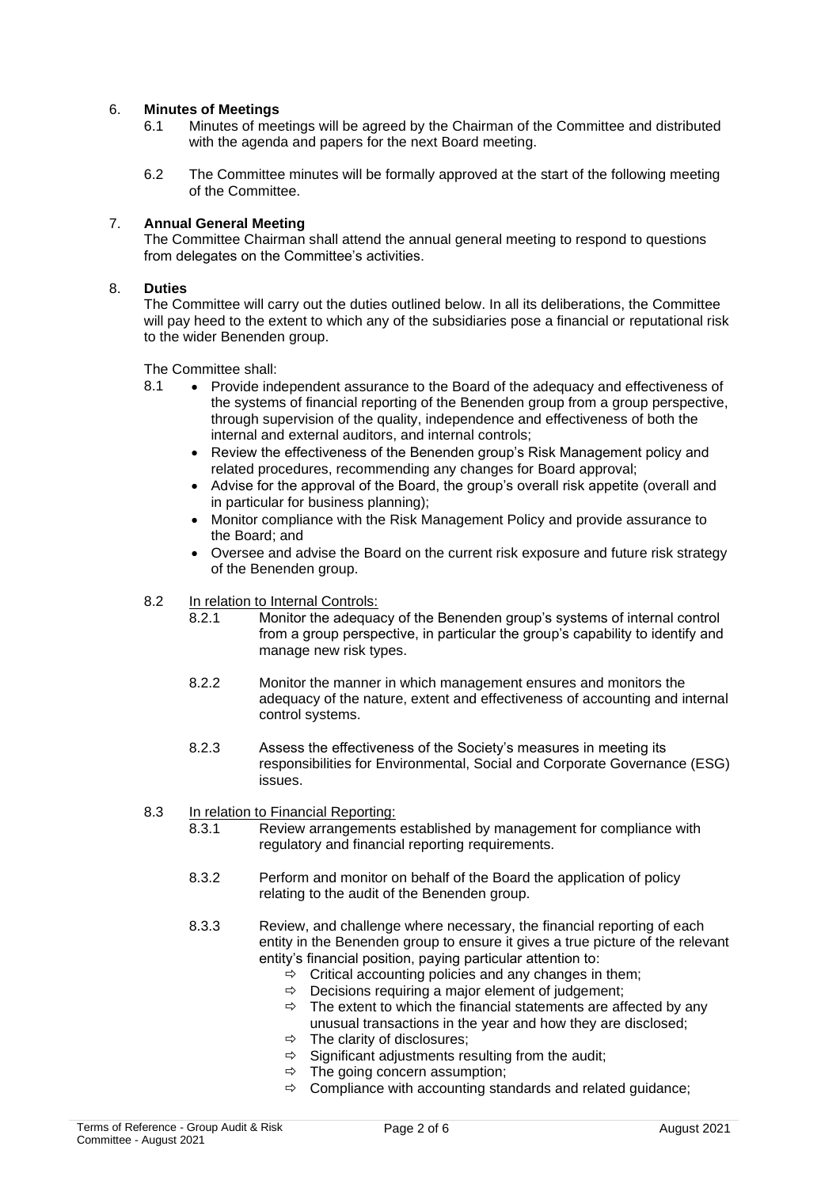## 6. **Minutes of Meetings**

- 6.1 Minutes of meetings will be agreed by the Chairman of the Committee and distributed with the agenda and papers for the next Board meeting.
- 6.2 The Committee minutes will be formally approved at the start of the following meeting of the Committee.

## 7. **Annual General Meeting**

The Committee Chairman shall attend the annual general meeting to respond to questions from delegates on the Committee's activities.

#### 8. **Duties**

The Committee will carry out the duties outlined below. In all its deliberations, the Committee will pay heed to the extent to which any of the subsidiaries pose a financial or reputational risk to the wider Benenden group.

The Committee shall:

- 8.1 Provide independent assurance to the Board of the adequacy and effectiveness of the systems of financial reporting of the Benenden group from a group perspective, through supervision of the quality, independence and effectiveness of both the internal and external auditors, and internal controls;
	- Review the effectiveness of the Benenden group's Risk Management policy and related procedures, recommending any changes for Board approval;
	- Advise for the approval of the Board, the group's overall risk appetite (overall and in particular for business planning);
	- Monitor compliance with the Risk Management Policy and provide assurance to the Board; and
	- Oversee and advise the Board on the current risk exposure and future risk strategy of the Benenden group.

#### 8.2 In relation to Internal Controls:

- 8.2.1 Monitor the adequacy of the Benenden group's systems of internal control from a group perspective, in particular the group's capability to identify and manage new risk types.
- 8.2.2 Monitor the manner in which management ensures and monitors the adequacy of the nature, extent and effectiveness of accounting and internal control systems.
- 8.2.3 Assess the effectiveness of the Society's measures in meeting its responsibilities for Environmental, Social and Corporate Governance (ESG) issues.

# 8.3 In relation to Financial Reporting:<br>8.3.1 Review arrangements

- Review arrangements established by management for compliance with regulatory and financial reporting requirements.
- 8.3.2 Perform and monitor on behalf of the Board the application of policy relating to the audit of the Benenden group.
- 8.3.3 Review, and challenge where necessary, the financial reporting of each entity in the Benenden group to ensure it gives a true picture of the relevant entity's financial position, paying particular attention to:
	- $\Rightarrow$  Critical accounting policies and any changes in them;
	- $\Rightarrow$  Decisions requiring a major element of judgement;
	- $\Rightarrow$  The extent to which the financial statements are affected by any unusual transactions in the year and how they are disclosed;
	- $\Rightarrow$  The clarity of disclosures;
	- $\Rightarrow$  Significant adjustments resulting from the audit;
	- $\Rightarrow$  The going concern assumption;
	- $\Rightarrow$  Compliance with accounting standards and related guidance;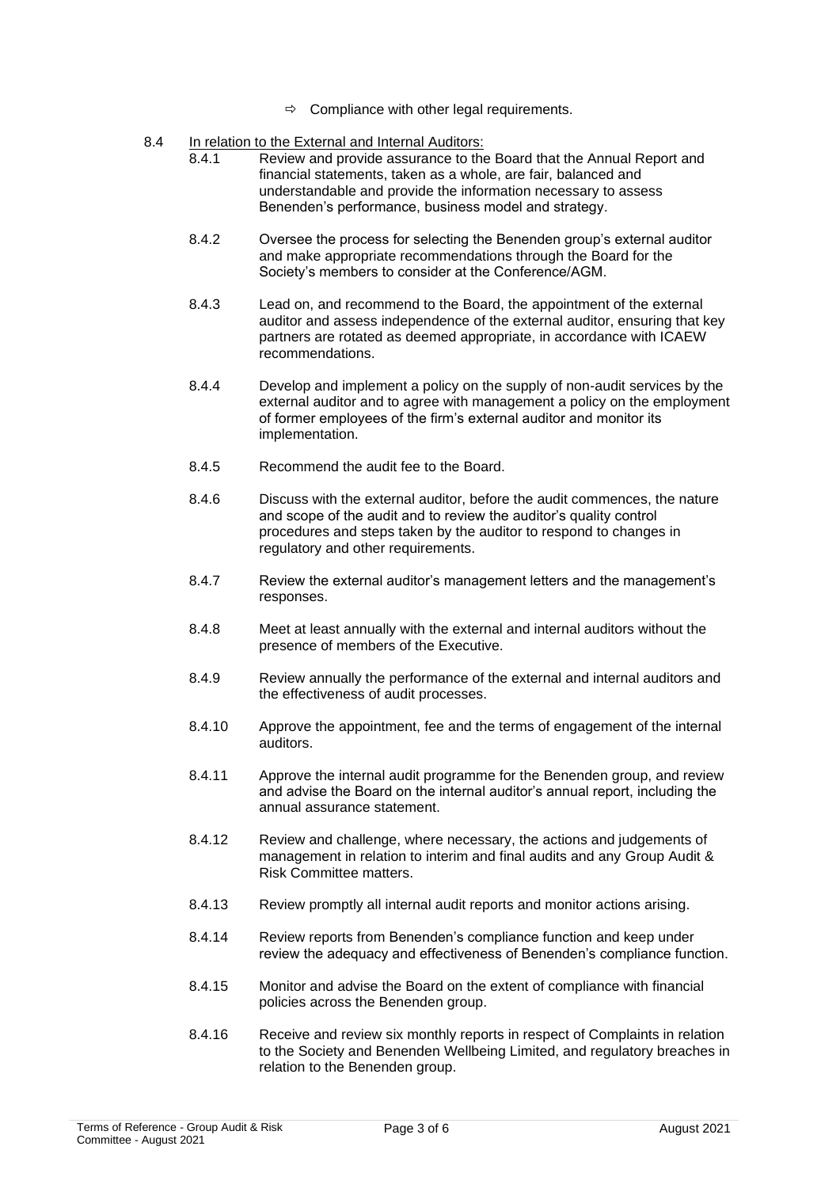- $\Rightarrow$  Compliance with other legal requirements.
- 8.4 In relation to the External and Internal Auditors:
	- 8.4.1 Review and provide assurance to the Board that the Annual Report and financial statements, taken as a whole, are fair, balanced and understandable and provide the information necessary to assess Benenden's performance, business model and strategy.
	- 8.4.2 Oversee the process for selecting the Benenden group's external auditor and make appropriate recommendations through the Board for the Society's members to consider at the Conference/AGM.
	- 8.4.3 Lead on, and recommend to the Board, the appointment of the external auditor and assess independence of the external auditor, ensuring that key partners are rotated as deemed appropriate, in accordance with ICAEW recommendations.
	- 8.4.4 Develop and implement a policy on the supply of non-audit services by the external auditor and to agree with management a policy on the employment of former employees of the firm's external auditor and monitor its implementation.
	- 8.4.5 Recommend the audit fee to the Board.
	- 8.4.6 Discuss with the external auditor, before the audit commences, the nature and scope of the audit and to review the auditor's quality control procedures and steps taken by the auditor to respond to changes in regulatory and other requirements.
	- 8.4.7 Review the external auditor's management letters and the management's responses.
	- 8.4.8 Meet at least annually with the external and internal auditors without the presence of members of the Executive.
	- 8.4.9 Review annually the performance of the external and internal auditors and the effectiveness of audit processes.
	- 8.4.10 Approve the appointment, fee and the terms of engagement of the internal auditors.
	- 8.4.11 Approve the internal audit programme for the Benenden group, and review and advise the Board on the internal auditor's annual report, including the annual assurance statement.
	- 8.4.12 Review and challenge, where necessary, the actions and judgements of management in relation to interim and final audits and any Group Audit & Risk Committee matters.
	- 8.4.13 Review promptly all internal audit reports and monitor actions arising.
	- 8.4.14 Review reports from Benenden's compliance function and keep under review the adequacy and effectiveness of Benenden's compliance function.
	- 8.4.15 Monitor and advise the Board on the extent of compliance with financial policies across the Benenden group.
	- 8.4.16 Receive and review six monthly reports in respect of Complaints in relation to the Society and Benenden Wellbeing Limited, and regulatory breaches in relation to the Benenden group.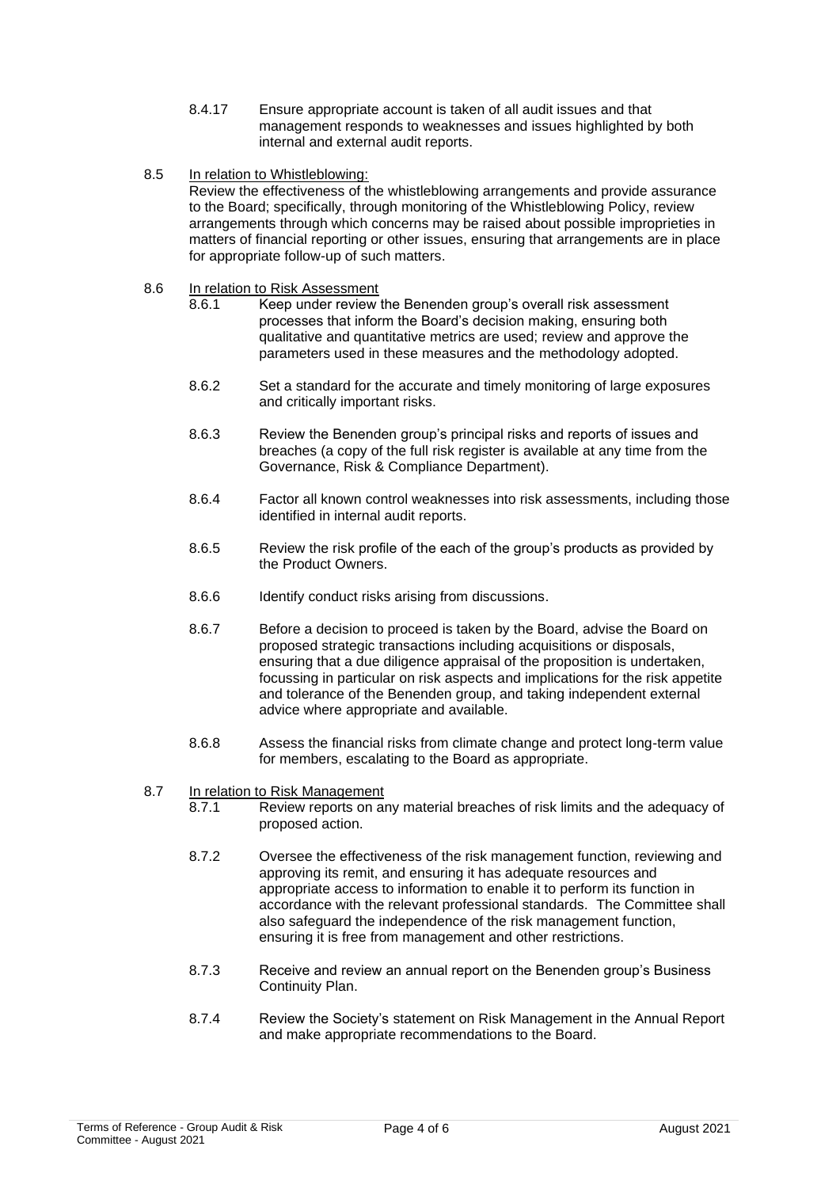- 8.4.17 Ensure appropriate account is taken of all audit issues and that management responds to weaknesses and issues highlighted by both internal and external audit reports.
- 8.5 In relation to Whistleblowing: Review the effectiveness of the whistleblowing arrangements and provide assurance to the Board; specifically, through monitoring of the Whistleblowing Policy, review arrangements through which concerns may be raised about possible improprieties in matters of financial reporting or other issues, ensuring that arrangements are in place for appropriate follow-up of such matters.

## 8.6 In relation to Risk Assessment

- 8.6.1 Keep under review the Benenden group's overall risk assessment processes that inform the Board's decision making, ensuring both qualitative and quantitative metrics are used; review and approve the parameters used in these measures and the methodology adopted.
- 8.6.2 Set a standard for the accurate and timely monitoring of large exposures and critically important risks.
- 8.6.3 Review the Benenden group's principal risks and reports of issues and breaches (a copy of the full risk register is available at any time from the Governance, Risk & Compliance Department).
- 8.6.4 Factor all known control weaknesses into risk assessments, including those identified in internal audit reports.
- 8.6.5 Review the risk profile of the each of the group's products as provided by the Product Owners.
- 8.6.6 Identify conduct risks arising from discussions.
- 8.6.7 Before a decision to proceed is taken by the Board, advise the Board on proposed strategic transactions including acquisitions or disposals, ensuring that a due diligence appraisal of the proposition is undertaken, focussing in particular on risk aspects and implications for the risk appetite and tolerance of the Benenden group, and taking independent external advice where appropriate and available.
- 8.6.8 Assess the financial risks from climate change and protect long-term value for members, escalating to the Board as appropriate.

#### 8.7 In relation to Risk Management

- 8.7.1 Review reports on any material breaches of risk limits and the adequacy of proposed action.
- 8.7.2 Oversee the effectiveness of the risk management function, reviewing and approving its remit, and ensuring it has adequate resources and appropriate access to information to enable it to perform its function in accordance with the relevant professional standards. The Committee shall also safeguard the independence of the risk management function, ensuring it is free from management and other restrictions.
- 8.7.3 Receive and review an annual report on the Benenden group's Business Continuity Plan.
- 8.7.4 Review the Society's statement on Risk Management in the Annual Report and make appropriate recommendations to the Board.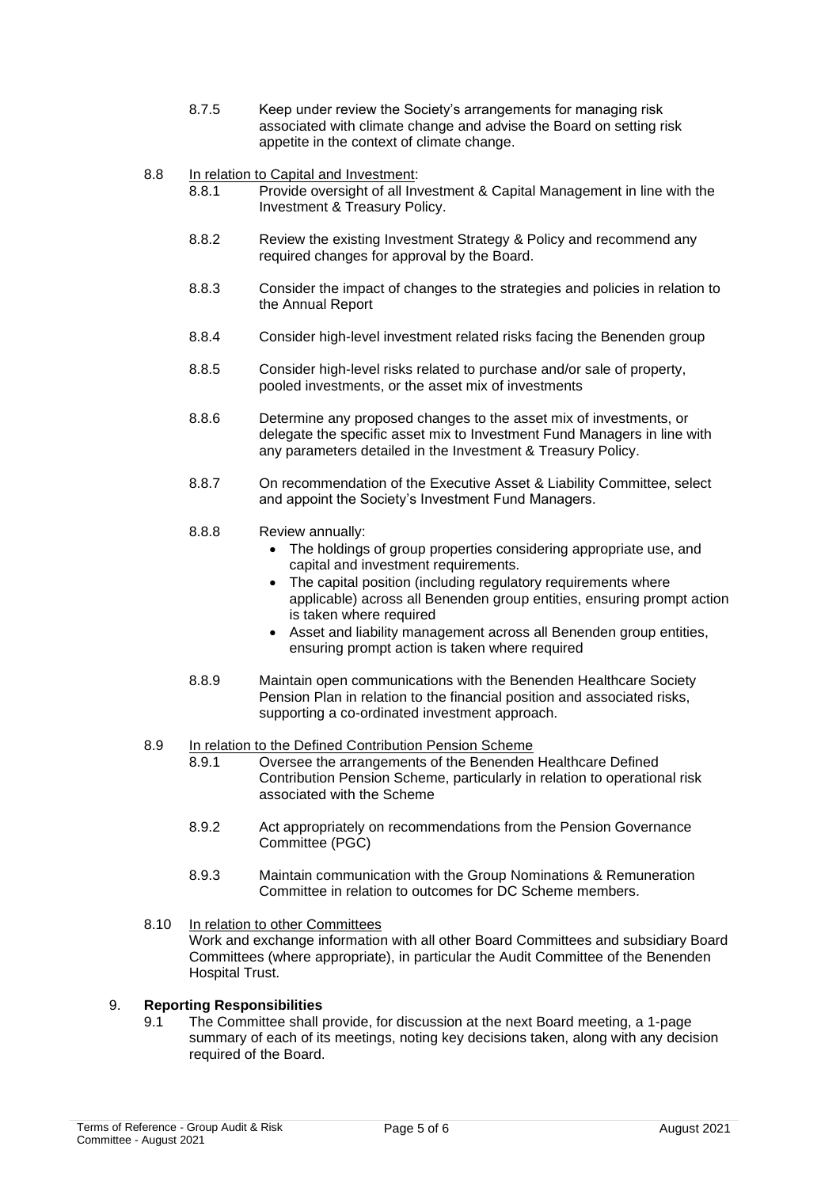8.7.5 Keep under review the Society's arrangements for managing risk associated with climate change and advise the Board on setting risk appetite in the context of climate change.

8.8 In relation to Capital and Investment:

- 8.8.1 Provide oversight of all Investment & Capital Management in line with the Investment & Treasury Policy.
- 8.8.2 Review the existing Investment Strategy & Policy and recommend any required changes for approval by the Board.
- 8.8.3 Consider the impact of changes to the strategies and policies in relation to the Annual Report
- 8.8.4 Consider high-level investment related risks facing the Benenden group
- 8.8.5 Consider high-level risks related to purchase and/or sale of property, pooled investments, or the asset mix of investments
- 8.8.6 Determine any proposed changes to the asset mix of investments, or delegate the specific asset mix to Investment Fund Managers in line with any parameters detailed in the Investment & Treasury Policy.
- 8.8.7 On recommendation of the Executive Asset & Liability Committee, select and appoint the Society's Investment Fund Managers.

## 8.8.8 Review annually:

- The holdings of group properties considering appropriate use, and capital and investment requirements.
- The capital position (including regulatory requirements where applicable) across all Benenden group entities, ensuring prompt action is taken where required
- Asset and liability management across all Benenden group entities, ensuring prompt action is taken where required
- 8.8.9 Maintain open communications with the Benenden Healthcare Society Pension Plan in relation to the financial position and associated risks, supporting a co-ordinated investment approach.

#### 8.9 In relation to the Defined Contribution Pension Scheme

- 8.9.1 Oversee the arrangements of the Benenden Healthcare Defined Contribution Pension Scheme, particularly in relation to operational risk associated with the Scheme
- 8.9.2 Act appropriately on recommendations from the Pension Governance Committee (PGC)
- 8.9.3 Maintain communication with the Group Nominations & Remuneration Committee in relation to outcomes for DC Scheme members.
- 8.10 In relation to other Committees Work and exchange information with all other Board Committees and subsidiary Board Committees (where appropriate), in particular the Audit Committee of the Benenden Hospital Trust.

## 9. **Reporting Responsibilities**

9.1 The Committee shall provide, for discussion at the next Board meeting, a 1-page summary of each of its meetings, noting key decisions taken, along with any decision required of the Board.